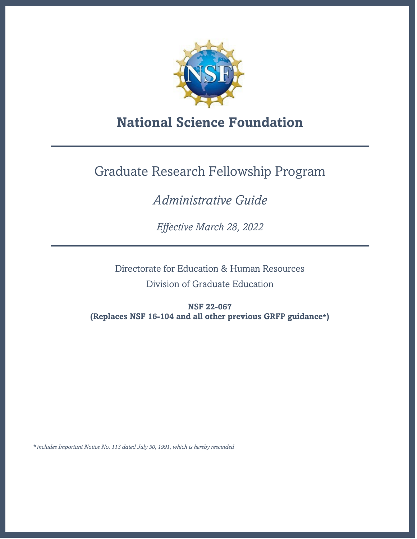

# **National Science Foundation**

# Graduate Research Fellowship Program

# *Administrative Guide*

*Effective March 28, 2022*

Directorate for Education & Human Resources

Division of Graduate Education

**NSF 22-067 (Replaces NSF 16-104 and all other previous GRFP guidance\*)** 

*\* includes Important Notice No. 113 dated July 30, 1991, which is hereby rescinded*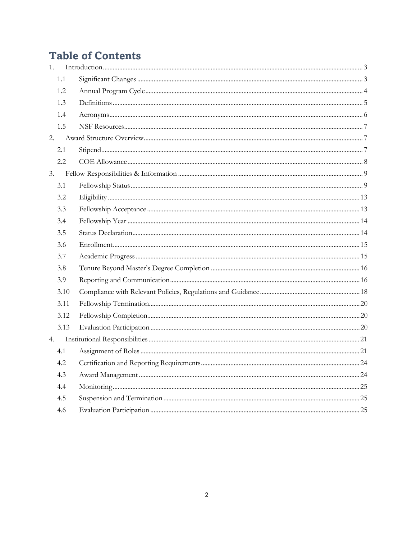# **Table of Contents**

| 1. |      |  |
|----|------|--|
|    | 1.1  |  |
|    | 1.2  |  |
|    | 1.3  |  |
|    | 1.4  |  |
|    | 1.5  |  |
| 2. |      |  |
|    | 2.1  |  |
|    | 2.2  |  |
| 3. |      |  |
|    | 3.1  |  |
|    | 3.2  |  |
|    | 3.3  |  |
|    | 3.4  |  |
|    | 3.5  |  |
|    | 3.6  |  |
|    | 3.7  |  |
|    | 3.8  |  |
|    | 3.9  |  |
|    | 3.10 |  |
|    | 3.11 |  |
|    | 3.12 |  |
|    | 3.13 |  |
| 4. |      |  |
|    | 4.1  |  |
|    | 4.2  |  |
|    | 4.3  |  |
|    | 4.4  |  |
|    | 4.5  |  |
|    | 4.6  |  |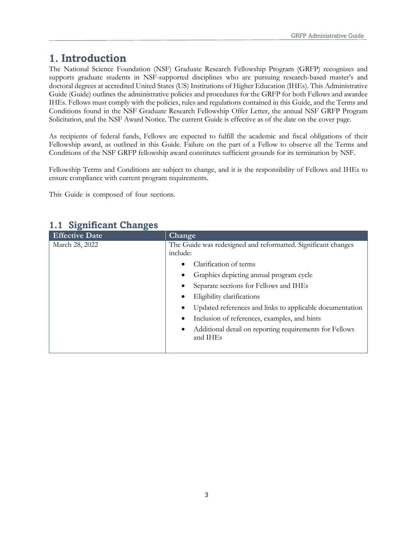# <span id="page-2-0"></span>**1. Introduction**

The National Science Foundation (NSF) Graduate Research Fellowship Program (GRFP) recognizes and supports graduate students in NSF-supported disciplines who are pursuing research-based master's and doctoral degrees at accredited United States (US) Institutions of Higher Education (IHEs). This Administrative Guide (Guide) outlines the administrative policies and procedures for the GRFP for both Fellows and awardee IHEs. Fellows must comply with the policies, rules and regulations contained in this Guide, and the Terms and Conditions found in the NSF Graduate Research Fellowship Offer Letter, the annual NSF GRFP Program Solicitation, and the NSF Award Notice. The current Guide is effective as of the date on the cover page.

As recipients of federal funds, Fellows are expected to fulfill the academic and fiscal obligations of their Fellowship award, as outlined in this Guide. Failure on the part of a Fellow to observe all the Terms and Conditions of the NSF GRFP fellowship award constitutes sufficient grounds for its termination by NSF.

Fellowship Terms and Conditions are subject to change, and it is the responsibility of Fellows and IHEs to ensure compliance with current program requirements.

This Guide is composed of four sections.

| <b>Effective Date</b> | Change                                                                   |  |  |  |  |  |
|-----------------------|--------------------------------------------------------------------------|--|--|--|--|--|
| March 28, 2022        | The Guide was redesigned and reformatted. Significant changes            |  |  |  |  |  |
|                       | include:                                                                 |  |  |  |  |  |
|                       | Clarification of terms<br>٠                                              |  |  |  |  |  |
|                       | Graphics depicting annual program cycle                                  |  |  |  |  |  |
|                       | Separate sections for Fellows and IHEs                                   |  |  |  |  |  |
|                       | Eligibility clarifications<br>٠                                          |  |  |  |  |  |
|                       | Updated references and links to applicable documentation                 |  |  |  |  |  |
|                       | Inclusion of references, examples, and hints<br>٠                        |  |  |  |  |  |
|                       | Additional detail on reporting requirements for Fellows<br>٠<br>and IHEs |  |  |  |  |  |
|                       |                                                                          |  |  |  |  |  |

# <span id="page-2-1"></span>**1.1 Significant Changes**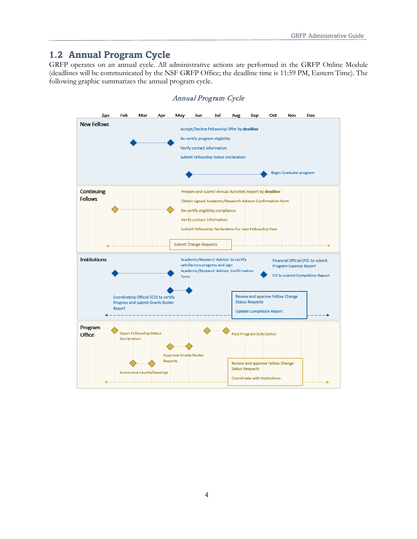# <span id="page-3-0"></span>**1.2 Annual Program Cycle**

GRFP operates on an annual cycle. All administrative actions are performed in the GRFP Online Module (deadlines will be communicated by the NSF GRFP Office; the deadline time is 11:59 PM, Eastern Time). The following graphic summarizes the annual program cycle.



#### Annual Program Cycle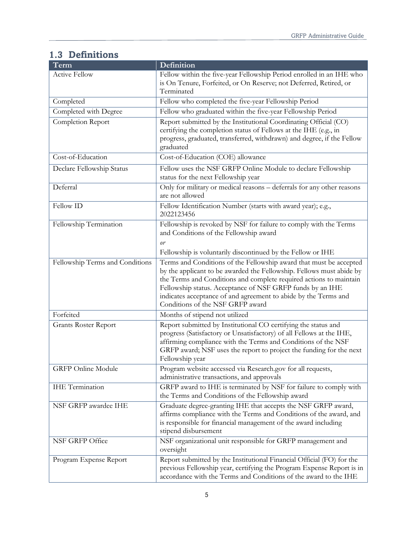# <span id="page-4-0"></span>**1.3 Definitions**

| Term                            | Definition                                                                                                                                                                                                                                                                                                                                                                           |  |  |  |  |  |
|---------------------------------|--------------------------------------------------------------------------------------------------------------------------------------------------------------------------------------------------------------------------------------------------------------------------------------------------------------------------------------------------------------------------------------|--|--|--|--|--|
| <b>Active Fellow</b>            | Fellow within the five-year Fellowship Period enrolled in an IHE who<br>is On Tenure, Forfeited, or On Reserve; not Deferred, Retired, or<br>Terminated                                                                                                                                                                                                                              |  |  |  |  |  |
| Completed                       | Fellow who completed the five-year Fellowship Period                                                                                                                                                                                                                                                                                                                                 |  |  |  |  |  |
| Completed with Degree           | Fellow who graduated within the five-year Fellowship Period                                                                                                                                                                                                                                                                                                                          |  |  |  |  |  |
| Completion Report               | Report submitted by the Institutional Coordinating Official (CO)<br>certifying the completion status of Fellows at the IHE (e.g., in<br>progress, graduated, transferred, withdrawn) and degree, if the Fellow<br>graduated                                                                                                                                                          |  |  |  |  |  |
| Cost-of-Education               | Cost-of-Education (COE) allowance                                                                                                                                                                                                                                                                                                                                                    |  |  |  |  |  |
| Declare Fellowship Status       | Fellow uses the NSF GRFP Online Module to declare Fellowship<br>status for the next Fellowship year                                                                                                                                                                                                                                                                                  |  |  |  |  |  |
| Deferral                        | Only for military or medical reasons - deferrals for any other reasons<br>are not allowed                                                                                                                                                                                                                                                                                            |  |  |  |  |  |
| Fellow ID                       | Fellow Identification Number (starts with award year); e.g.,<br>2022123456                                                                                                                                                                                                                                                                                                           |  |  |  |  |  |
| Fellowship Termination          | Fellowship is revoked by NSF for failure to comply with the Terms<br>and Conditions of the Fellowship award<br>or<br>Fellowship is voluntarily discontinued by the Fellow or IHE                                                                                                                                                                                                     |  |  |  |  |  |
| Fellowship Terms and Conditions | Terms and Conditions of the Fellowship award that must be accepted<br>by the applicant to be awarded the Fellowship. Fellows must abide by<br>the Terms and Conditions and complete required actions to maintain<br>Fellowship status. Acceptance of NSF GRFP funds by an IHE<br>indicates acceptance of and agreement to abide by the Terms and<br>Conditions of the NSF GRFP award |  |  |  |  |  |
| Forfeited                       | Months of stipend not utilized                                                                                                                                                                                                                                                                                                                                                       |  |  |  |  |  |
| <b>Grants Roster Report</b>     | Report submitted by Institutional CO certifying the status and<br>progress (Satisfactory or Unsatisfactory) of all Fellows at the IHE,<br>affirming compliance with the Terms and Conditions of the NSF<br>GRFP award; NSF uses the report to project the funding for the next<br>Fellowship year                                                                                    |  |  |  |  |  |
| <b>GRFP</b> Online Module       | Program website accessed via Research.gov for all requests,<br>administrative transactions, and approvals                                                                                                                                                                                                                                                                            |  |  |  |  |  |
| <b>IHE</b> Termination          | GRFP award to IHE is terminated by NSF for failure to comply with<br>the Terms and Conditions of the Fellowship award                                                                                                                                                                                                                                                                |  |  |  |  |  |
| NSF GRFP awardee IHE            | Graduate degree-granting IHE that accepts the NSF GRFP award,<br>affirms compliance with the Terms and Conditions of the award, and<br>is responsible for financial management of the award including<br>stipend disbursement                                                                                                                                                        |  |  |  |  |  |
| NSF GRFP Office                 | NSF organizational unit responsible for GRFP management and<br>oversight                                                                                                                                                                                                                                                                                                             |  |  |  |  |  |
| Program Expense Report          | Report submitted by the Institutional Financial Official (FO) for the<br>previous Fellowship year, certifying the Program Expense Report is in<br>accordance with the Terms and Conditions of the award to the IHE                                                                                                                                                                   |  |  |  |  |  |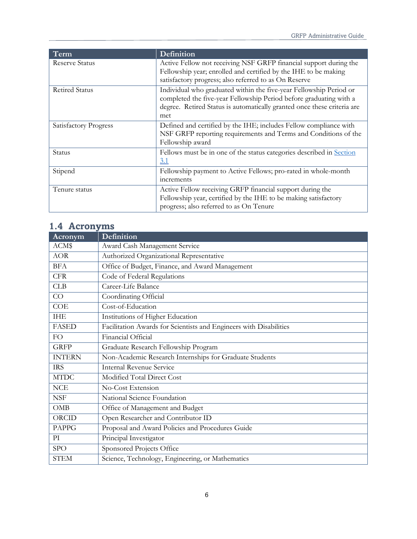| Term                  | Definition                                                                                                                                                                                                                 |  |  |  |  |  |
|-----------------------|----------------------------------------------------------------------------------------------------------------------------------------------------------------------------------------------------------------------------|--|--|--|--|--|
| <b>Reserve Status</b> | Active Fellow not receiving NSF GRFP financial support during the<br>Fellowship year; enrolled and certified by the IHE to be making<br>satisfactory progress; also referred to as On Reserve                              |  |  |  |  |  |
| <b>Retired Status</b> | Individual who graduated within the five-year Fellowship Period or<br>completed the five-year Fellowship Period before graduating with a<br>degree. Retired Status is automatically granted once these criteria are<br>met |  |  |  |  |  |
| Satisfactory Progress | Defined and certified by the IHE; includes Fellow compliance with<br>NSF GRFP reporting requirements and Terms and Conditions of the<br>Fellowship award                                                                   |  |  |  |  |  |
| Status                | Fellows must be in one of the status categories described in Section<br>3.1                                                                                                                                                |  |  |  |  |  |
| Stipend               | Fellowship payment to Active Fellows; pro-rated in whole-month<br>increments                                                                                                                                               |  |  |  |  |  |
| Tenure status         | Active Fellow receiving GRFP financial support during the<br>Fellowship year, certified by the IHE to be making satisfactory<br>progress; also referred to as On Tenure                                                    |  |  |  |  |  |

# <span id="page-5-0"></span>**1.4 Acronyms**

| <b>Acronym</b> | Definition                                                         |
|----------------|--------------------------------------------------------------------|
| ACM\$          | Award Cash Management Service                                      |
| <b>AOR</b>     | Authorized Organizational Representative                           |
| <b>BFA</b>     | Office of Budget, Finance, and Award Management                    |
| <b>CFR</b>     | Code of Federal Regulations                                        |
| CLB            | Career-Life Balance                                                |
| CO             | Coordinating Official                                              |
| COE            | Cost-of-Education                                                  |
| <b>IHE</b>     | Institutions of Higher Education                                   |
| <b>FASED</b>   | Facilitation Awards for Scientists and Engineers with Disabilities |
| FO             | Financial Official                                                 |
| <b>GRFP</b>    | Graduate Research Fellowship Program                               |
| <b>INTERN</b>  | Non-Academic Research Internships for Graduate Students            |
| <b>IRS</b>     | <b>Internal Revenue Service</b>                                    |
| <b>MTDC</b>    | Modified Total Direct Cost                                         |
| NCE            | No-Cost Extension                                                  |
| <b>NSF</b>     | National Science Foundation                                        |
| <b>OMB</b>     | Office of Management and Budget                                    |
| ORCID          | Open Researcher and Contributor ID                                 |
| <b>PAPPG</b>   | Proposal and Award Policies and Procedures Guide                   |
| PI             | Principal Investigator                                             |
| <b>SPO</b>     | Sponsored Projects Office                                          |
| <b>STEM</b>    | Science, Technology, Engineering, or Mathematics                   |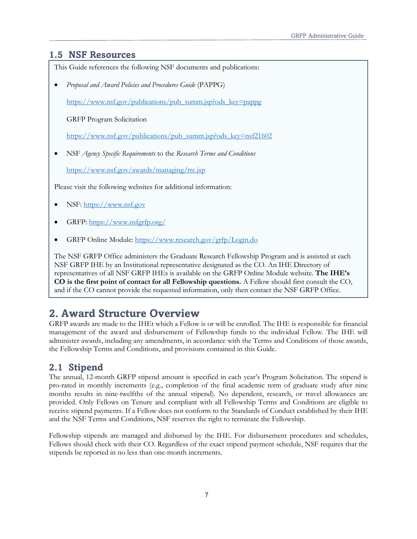### <span id="page-6-0"></span>**1.5 NSF Resources**

This Guide references the following NSF documents and publications:

• *Proposal and Award Policies and Procedures Guide* (PAPPG)

[https://www.nsf.gov/publications/pub\\_summ.jsp?ods\\_key=pappg](https://www.nsf.gov/publications/pub_summ.jsp?ods_key=pappg)

GRFP Program Solicitation

[https://www.nsf.gov/publications/pub\\_summ.jsp?ods\\_key=nsf21602](https://www.nsf.gov/publications/pub_summ.jsp?ods_key=nsf21602)

• NSF *Agency Specific Requirements* to the *Research Terms and Conditions*

<https://www.nsf.gov/awards/managing/rtc.jsp>

Please visit the following websites for additional information:

- NSF: [https://www.nsf.gov](https://www.nsf.gov/)
- GRFP: [https://www.nsfgrfp.org/](https://www.nsf.gov/cgi-bin/goodbye?https://www.nsfgrfp.org/)
- GRFP Online Module:<https://www.research.gov/grfp/Login.do>

The NSF GRFP Office administers the Graduate Research Fellowship Program and is assisted at each NSF GRFP IHE by an Institutional representative designated as the CO. An IHE Directory of representatives of all NSF GRFP IHEs is available on the GRFP Online Module website. **The IHE's CO is the first point of contact for all Fellowship questions.** A Fellow should first consult the CO, and if the CO cannot provide the requested information, only then contact the NSF GRFP Office.

# <span id="page-6-1"></span>**2. Award Structure Overview**

GRFP awards are made to the IHEt which a Fellow is or will be enrolled. The IHE is responsible for financial management of the award and disbursement of Fellowship funds to the individual Fellow. The IHE will administer awards, including any amendments, in accordance with the Terms and Conditions of those awards, the Fellowship Terms and Conditions, and provisions contained in this Guide.

# <span id="page-6-2"></span>**2.1 Stipend**

The annual, 12-month GRFP stipend amount is specified in each year's Program Solicitation. The stipend is pro-rated in monthly increments (e.g., completion of the final academic term of graduate study after nine months results in nine-twelfths of the annual stipend). No dependent, research, or travel allowances are provided. Only Fellows on Tenure and compliant with all Fellowship Terms and Conditions are eligible to receive stipend payments. If a Fellow does not conform to the Standards of Conduct established by their IHE and the NSF Terms and Conditions, NSF reserves the right to terminate the Fellowship.

Fellowship stipends are managed and disbursed by the IHE. For disbursement procedures and schedules, Fellows should check with their CO. Regardless of the exact stipend payment schedule, NSF requires that the stipends be reported in no less than one-month increments.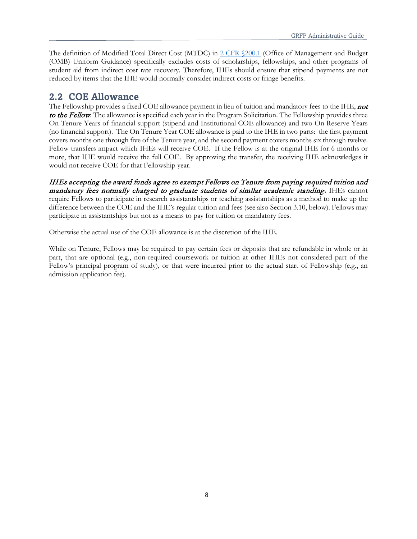The definition of Modified Total Direct Cost (MTDC) in 2 CFR \$200.1 (Office of Management and Budget (OMB) Uniform Guidance) specifically excludes costs of scholarships, fellowships, and other programs of student aid from indirect cost rate recovery. Therefore, IHEs should ensure that stipend payments are not reduced by items that the IHE would normally consider indirect costs or fringe benefits.

## <span id="page-7-0"></span>**2.2 COE Allowance**

The Fellowship provides a fixed COE allowance payment in lieu of tuition and mandatory fees to the IHE, **not** to the Fellow. The allowance is specified each year in the Program Solicitation. The Fellowship provides three On Tenure Years of financial support (stipend and Institutional COE allowance) and two On Reserve Years (no financial support). The On Tenure Year COE allowance is paid to the IHE in two parts: the first payment covers months one through five of the Tenure year, and the second payment covers months six through twelve. Fellow transfers impact which IHEs will receive COE. If the Fellow is at the original IHE for 6 months or more, that IHE would receive the full COE. By approving the transfer, the receiving IHE acknowledges it would not receive COE for that Fellowship year.

IHEs accepting the award funds agree to exempt Fellows on Tenure from paying required tuition and mandatory fees normally charged to graduate students of similar academic standing**.** IHEs cannot require Fellows to participate in research assistantships or teaching assistantships as a method to make up the difference between the COE and the IHE's regular tuition and fees (see also Section 3.10, below). Fellows may participate in assistantships but not as a means to pay for tuition or mandatory fees.

Otherwise the actual use of the COE allowance is at the discretion of the IHE.

While on Tenure, Fellows may be required to pay certain fees or deposits that are refundable in whole or in part, that are optional (e.g., non-required coursework or tuition at other IHEs not considered part of the Fellow's principal program of study), or that were incurred prior to the actual start of Fellowship (e.g., an admission application fee).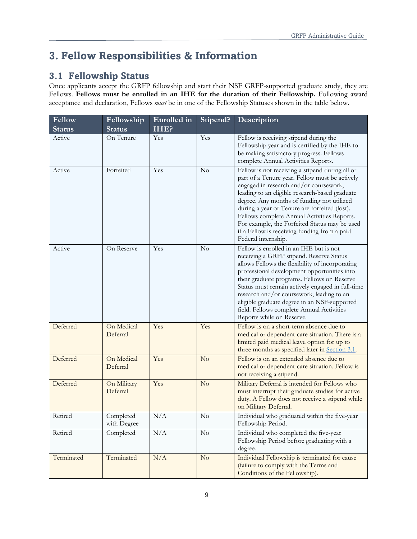# <span id="page-8-0"></span>**3. Fellow Responsibilities & Information**

# <span id="page-8-1"></span>**3.1 Fellowship Status**

Once applicants accept the GRFP fellowship and start their NSF GRFP-supported graduate study, they are Fellows. **Fellows must be enrolled in an IHE for the duration of their Fellowship.** Following award acceptance and declaration, Fellows *must* be in one of the Fellowship Statuses shown in the table below.

| Fellow<br><b>Status</b> | Fellowship<br><b>Status</b> | Enrolled in<br>IHE? | Stipend?               | Description                                                                                                                                                                                                                                                                                                                                                                                                                                                         |
|-------------------------|-----------------------------|---------------------|------------------------|---------------------------------------------------------------------------------------------------------------------------------------------------------------------------------------------------------------------------------------------------------------------------------------------------------------------------------------------------------------------------------------------------------------------------------------------------------------------|
| Active                  | On Tenure                   | Yes                 | Yes                    | Fellow is receiving stipend during the<br>Fellowship year and is certified by the IHE to<br>be making satisfactory progress. Fellows<br>complete Annual Activities Reports.                                                                                                                                                                                                                                                                                         |
| Active                  | Forfeited                   | Yes                 | No                     | Fellow is not receiving a stipend during all or<br>part of a Tenure year. Fellow must be actively<br>engaged in research and/or coursework,<br>leading to an eligible research-based graduate<br>degree. Any months of funding not utilized<br>during a year of Tenure are forfeited (lost).<br>Fellows complete Annual Activities Reports.<br>For example, the Forfeited Status may be used<br>if a Fellow is receiving funding from a paid<br>Federal internship. |
| Active                  | On Reserve                  | Yes                 | No                     | Fellow is enrolled in an IHE but is not<br>receiving a GRFP stipend. Reserve Status<br>allows Fellows the flexibility of incorporating<br>professional development opportunities into<br>their graduate programs. Fellows on Reserve<br>Status must remain actively engaged in full-time<br>research and/or coursework, leading to an<br>eligible graduate degree in an NSF-supported<br>field. Fellows complete Annual Activities<br>Reports while on Reserve.     |
| Deferred                | On Medical<br>Deferral      | Yes                 | Yes                    | Fellow is on a short-term absence due to<br>medical or dependent-care situation. There is a<br>limited paid medical leave option for up to<br>three months as specified later in Section 3.1.                                                                                                                                                                                                                                                                       |
| Deferred                | On Medical<br>Deferral      | Yes                 | No                     | Fellow is on an extended absence due to<br>medical or dependent-care situation. Fellow is<br>not receiving a stipend.                                                                                                                                                                                                                                                                                                                                               |
| Deferred                | On Military<br>Deferral     | Yes                 | $\overline{\text{No}}$ | Military Deferral is intended for Fellows who<br>must interrupt their graduate studies for active<br>duty. A Fellow does not receive a stipend while<br>on Military Deferral.                                                                                                                                                                                                                                                                                       |
| Retired                 | Completed<br>with Degree    | N/A                 | No                     | Individual who graduated within the five-year<br>Fellowship Period.                                                                                                                                                                                                                                                                                                                                                                                                 |
| Retired                 | Completed                   | N/A                 | $\rm No$               | Individual who completed the five-year<br>Fellowship Period before graduating with a<br>degree.                                                                                                                                                                                                                                                                                                                                                                     |
| Terminated              | Terminated                  | N/A                 | No                     | Individual Fellowship is terminated for cause<br>(failure to comply with the Terms and<br>Conditions of the Fellowship).                                                                                                                                                                                                                                                                                                                                            |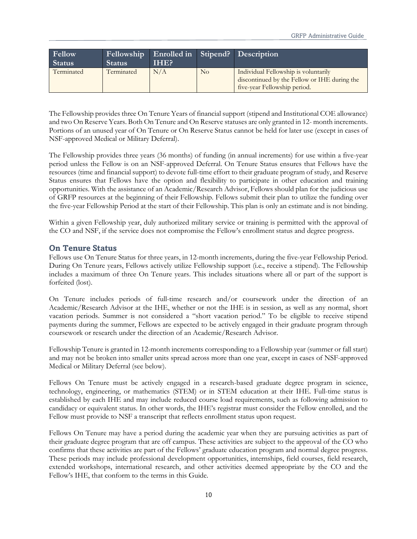| Fellow<br><b>Status</b> | <b>Status</b>     | Fellowship Enrolled in Stipend? Description<br>IHE? |    |                                                                                                                      |  |  |  |  |
|-------------------------|-------------------|-----------------------------------------------------|----|----------------------------------------------------------------------------------------------------------------------|--|--|--|--|
| Terminated              | N/A<br>Terminated |                                                     | No | Individual Fellowship is voluntarily<br>discontinued by the Fellow or IHE during the<br>five-year Fellowship period. |  |  |  |  |

The Fellowship provides three On Tenure Years of financial support (stipend and Institutional COE allowance) and two On Reserve Years. Both On Tenure and On Reserve statuses are only granted in 12- month increments. Portions of an unused year of On Tenure or On Reserve Status cannot be held for later use (except in cases of NSF-approved Medical or Military Deferral).

The Fellowship provides three years (36 months) of funding (in annual increments) for use within a five-year period unless the Fellow is on an NSF-approved Deferral. On Tenure Status ensures that Fellows have the resources (time and financial support) to devote full-time effort to their graduate program of study, and Reserve Status ensures that Fellows have the option and flexibility to participate in other education and training opportunities. With the assistance of an Academic/Research Advisor, Fellows should plan for the judicious use of GRFP resources at the beginning of their Fellowship. Fellows submit their plan to utilize the funding over the five-year Fellowship Period at the start of their Fellowship. This plan is only an estimate and is not binding.

Within a given Fellowship year, duly authorized military service or training is permitted with the approval of the CO and NSF, if the service does not compromise the Fellow's enrollment status and degree progress.

#### **On Tenure Status**

Fellows use On Tenure Status for three years, in 12-month increments, during the five-year Fellowship Period. During On Tenure years, Fellows actively utilize Fellowship support (i.e., receive a stipend). The Fellowship includes a maximum of three On Tenure years. This includes situations where all or part of the support is forfeited (lost).

On Tenure includes periods of full-time research and/or coursework under the direction of an Academic/Research Advisor at the IHE, whether or not the IHE is in session, as well as any normal, short vacation periods. Summer is not considered a "short vacation period." To be eligible to receive stipend payments during the summer, Fellows are expected to be actively engaged in their graduate program through coursework or research under the direction of an Academic/Research Advisor.

Fellowship Tenure is granted in 12-month increments corresponding to a Fellowship year (summer or fall start) and may not be broken into smaller units spread across more than one year, except in cases of NSF-approved Medical or Military Deferral (see below).

Fellows On Tenure must be actively engaged in a research-based graduate degree program in science, technology, engineering, or mathematics (STEM) or in STEM education at their IHE. Full-time status is established by each IHE and may include reduced course load requirements, such as following admission to candidacy or equivalent status. In other words, the IHE's registrar must consider the Fellow enrolled, and the Fellow must provide to NSF a transcript that reflects enrollment status upon request.

Fellows On Tenure may have a period during the academic year when they are pursuing activities as part of their graduate degree program that are off campus. These activities are subject to the approval of the CO who confirms that these activities are part of the Fellows' graduate education program and normal degree progress. These periods may include professional development opportunities, internships, field courses, field research, extended workshops, international research, and other activities deemed appropriate by the CO and the Fellow's IHE, that conform to the terms in this Guide.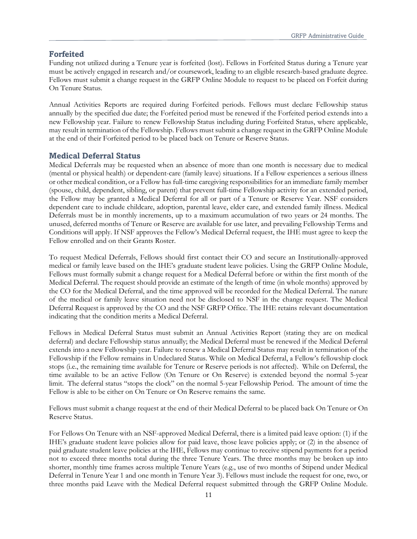#### **Forfeited**

Funding not utilized during a Tenure year is forfeited (lost). Fellows in Forfeited Status during a Tenure year must be actively engaged in research and/or coursework, leading to an eligible research-based graduate degree. Fellows must submit a change request in the GRFP Online Module to request to be placed on Forfeit during On Tenure Status.

Annual Activities Reports are required during Forfeited periods. Fellows must declare Fellowship status annually by the specified due date; the Forfeited period must be renewed if the Forfeited period extends into a new Fellowship year. Failure to renew Fellowship Status including during Forfeited Status, where applicable, may result in termination of the Fellowship. Fellows must submit a change request in the GRFP Online Module at the end of their Forfeited period to be placed back on Tenure or Reserve Status.

#### **Medical Deferral Status**

Medical Deferrals may be requested when an absence of more than one month is necessary due to medical (mental or physical health) or dependent-care (family leave) situations. If a Fellow experiences a serious illness or other medical condition, or a Fellow has full-time caregiving responsibilities for an immediate family member (spouse, child, dependent, sibling, or parent) that prevent full-time Fellowship activity for an extended period, the Fellow may be granted a Medical Deferral for all or part of a Tenure or Reserve Year. NSF considers dependent care to include childcare, adoption, parental leave, elder care, and extended family illness. Medical Deferrals must be in monthly increments, up to a maximum accumulation of two years or 24 months. The unused, deferred months of Tenure or Reserve are available for use later, and prevailing Fellowship Terms and Conditions will apply. If NSF approves the Fellow's Medical Deferral request, the IHE must agree to keep the Fellow enrolled and on their Grants Roster.

To request Medical Deferrals, Fellows should first contact their CO and secure an Institutionally-approved medical or family leave based on the IHE's graduate student leave policies. Using the GRFP Online Module, Fellows must formally submit a change request for a Medical Deferral before or within the first month of the Medical Deferral. The request should provide an estimate of the length of time (in whole months) approved by the CO for the Medical Deferral, and the time approved will be recorded for the Medical Deferral. The nature of the medical or family leave situation need not be disclosed to NSF in the change request. The Medical Deferral Request is approved by the CO and the NSF GRFP Office. The IHE retains relevant documentation indicating that the condition merits a Medical Deferral.

Fellows in Medical Deferral Status must submit an Annual Activities Report (stating they are on medical deferral) and declare Fellowship status annually; the Medical Deferral must be renewed if the Medical Deferral extends into a new Fellowship year. Failure to renew a Medical Deferral Status may result in termination of the Fellowship if the Fellow remains in Undeclared Status. While on Medical Deferral, a Fellow's fellowship clock stops (i.e., the remaining time available for Tenure or Reserve periods is not affected). While on Deferral, the time available to be an active Fellow (On Tenure or On Reserve) is extended beyond the normal 5-year limit. The deferral status "stops the clock" on the normal 5-year Fellowship Period. The amount of time the Fellow is able to be either on On Tenure or On Reserve remains the same.

Fellows must submit a change request at the end of their Medical Deferral to be placed back On Tenure or On Reserve Status.

For Fellows On Tenure with an NSF-approved Medical Deferral, there is a limited paid leave option: (1) if the IHE's graduate student leave policies allow for paid leave, those leave policies apply; or (2) in the absence of paid graduate student leave policies at the IHE, Fellows may continue to receive stipend payments for a period not to exceed three months total during the three Tenure Years. The three months may be broken up into shorter, monthly time frames across multiple Tenure Years (e.g., use of two months of Stipend under Medical Deferral in Tenure Year 1 and one month in Tenure Year 3). Fellows must include the request for one, two, or three months paid Leave with the Medical Deferral request submitted through the GRFP Online Module.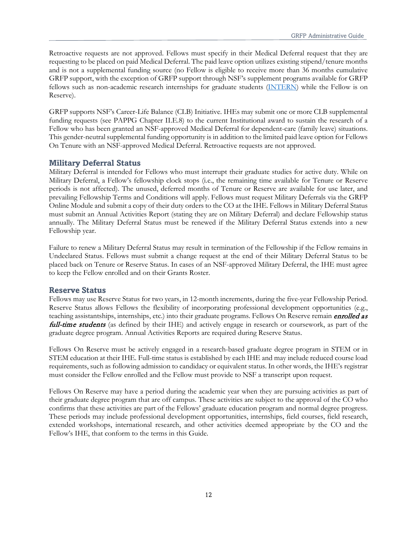Retroactive requests are not approved. Fellows must specify in their Medical Deferral request that they are requesting to be placed on paid Medical Deferral. The paid leave option utilizes existing stipend/tenure months and is not a supplemental funding source (no Fellow is eligible to receive more than 36 months cumulative GRFP support, with the exception of GRFP support through NSF's supplement programs available for GRFP fellows such as non-academic research internships for graduate students [\(INTERN\)](https://www.nsf.gov/pubs/2021/nsf21013/nsf21013.jsp) while the Fellow is on Reserve).

GRFP supports NSF's Career-Life Balance (CLB) Initiative. IHEs may submit one or more CLB supplemental funding requests (see PAPPG Chapter II.E.8) to the current Institutional award to sustain the research of a Fellow who has been granted an NSF-approved Medical Deferral for dependent-care (family leave) situations. This gender-neutral supplemental funding opportunity is in addition to the limited paid leave option for Fellows On Tenure with an NSF-approved Medical Deferral. Retroactive requests are not approved.

#### **Military Deferral Status**

Military Deferral is intended for Fellows who must interrupt their graduate studies for active duty. While on Military Deferral, a Fellow's fellowship clock stops (i.e., the remaining time available for Tenure or Reserve periods is not affected). The unused, deferred months of Tenure or Reserve are available for use later, and prevailing Fellowship Terms and Conditions will apply. Fellows must request Military Deferrals via the GRFP Online Module and submit a copy of their duty orders to the CO at the IHE. Fellows in Military Deferral Status must submit an Annual Activities Report (stating they are on Military Deferral) and declare Fellowship status annually. The Military Deferral Status must be renewed if the Military Deferral Status extends into a new Fellowship year.

Failure to renew a Military Deferral Status may result in termination of the Fellowship if the Fellow remains in Undeclared Status. Fellows must submit a change request at the end of their Military Deferral Status to be placed back on Tenure or Reserve Status. In cases of an NSF-approved Military Deferral, the IHE must agree to keep the Fellow enrolled and on their Grants Roster.

#### **Reserve Status**

Fellows may use Reserve Status for two years, in 12-month increments, during the five-year Fellowship Period. Reserve Status allows Fellows the flexibility of incorporating professional development opportunities (e.g., teaching assistantships, internships, etc.) into their graduate programs. Fellows On Reserve remain *enrolled as* full-time students (as defined by their IHE) and actively engage in research or coursework, as part of the graduate degree program. Annual Activities Reports are required during Reserve Status.

Fellows On Reserve must be actively engaged in a research-based graduate degree program in STEM or in STEM education at their IHE. Full-time status is established by each IHE and may include reduced course load requirements, such as following admission to candidacy or equivalent status. In other words, the IHE's registrar must consider the Fellow enrolled and the Fellow must provide to NSF a transcript upon request.

Fellows On Reserve may have a period during the academic year when they are pursuing activities as part of their graduate degree program that are off campus. These activities are subject to the approval of the CO who confirms that these activities are part of the Fellows' graduate education program and normal degree progress. These periods may include professional development opportunities, internships, field courses, field research, extended workshops, international research, and other activities deemed appropriate by the CO and the Fellow's IHE, that conform to the terms in this Guide.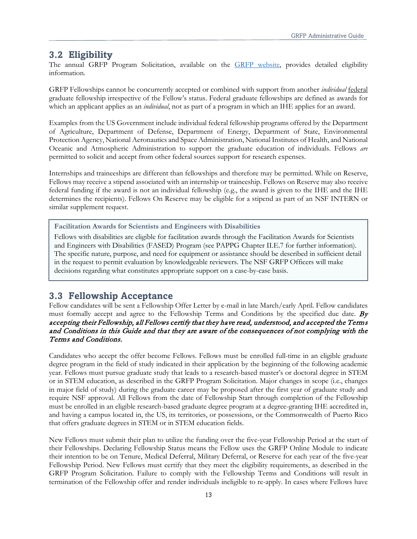#### <span id="page-12-0"></span>**3.2 Eligibility**

The annual GRFP Program Solicitation, available on the **GRFP** website, provides detailed eligibility information.

GRFP Fellowships cannot be concurrently accepted or combined with support from another *individual* federal graduate fellowship irrespective of the Fellow's status. Federal graduate fellowships are defined as awards for which an applicant applies as an *individual*, not as part of a program in which an IHE applies for an award.

Examples from the US Government include individual federal fellowship programs offered by the Department of Agriculture, Department of Defense, Department of Energy, Department of State, Environmental Protection Agency, National Aeronautics and Space Administration, National Institutes of Health, and National Oceanic and Atmospheric Administration to support the graduate education of individuals. Fellows *are* permitted to solicit and accept from other federal sources support for research expenses.

Internships and traineeships are different than fellowships and therefore may be permitted. While on Reserve, Fellows may receive a stipend associated with an internship or traineeship. Fellows on Reserve may also receive federal funding if the award is not an individual fellowship (e.g., the award is given to the IHE and the IHE determines the recipients). Fellows On Reserve may be eligible for a stipend as part of an NSF INTERN or similar supplement request.

**Facilitation Awards for Scientists and Engineers with Disabilities**

Fellows with disabilities are eligible for facilitation awards through the Facilitation Awards for Scientists and Engineers with Disabilities (FASED) Program (see PAPPG Chapter II.E.7 for further information). The specific nature, purpose, and need for equipment or assistance should be described in sufficient detail in the request to permit evaluation by knowledgeable reviewers. The NSF GRFP Officers will make decisions regarding what constitutes appropriate support on a case-by-case basis.

#### <span id="page-12-1"></span>**3.3 Fellowship Acceptance**

Fellow candidates will be sent a Fellowship Offer Letter by e-mail in late March/early April. Fellow candidates must formally accept and agree to the Fellowship Terms and Conditions by the specified due date.  $By$ accepting their Fellowship, all Fellows certify that they have read, understood, and accepted the Terms and Conditions in this Guide and that they are aware of the consequences of not complying with the Terms and Conditions.

Candidates who accept the offer become Fellows. Fellows must be enrolled full-time in an eligible graduate degree program in the field of study indicated in their application by the beginning of the following academic year. Fellows must pursue graduate study that leads to a research-based master's or doctoral degree in STEM or in STEM education, as described in the GRFP Program Solicitation. Major changes in scope (i.e., changes in major field of study) during the graduate career may be proposed after the first year of graduate study and require NSF approval. All Fellows from the date of Fellowship Start through completion of the Fellowship must be enrolled in an eligible research-based graduate degree program at a degree-granting IHE accredited in, and having a campus located in, the US, its territories, or possessions, or the Commonwealth of Puerto Rico that offers graduate degrees in STEM or in STEM education fields.

New Fellows must submit their plan to utilize the funding over the five-year Fellowship Period at the start of their Fellowships. Declaring Fellowship Status means the Fellow uses the GRFP Online Module to indicate their intention to be on Tenure, Medical Deferral, Military Deferral, or Reserve for each year of the five-year Fellowship Period. New Fellows must certify that they meet the eligibility requirements, as described in the GRFP Program Solicitation. Failure to comply with the Fellowship Terms and Conditions will result in termination of the Fellowship offer and render individuals ineligible to re-apply. In cases where Fellows have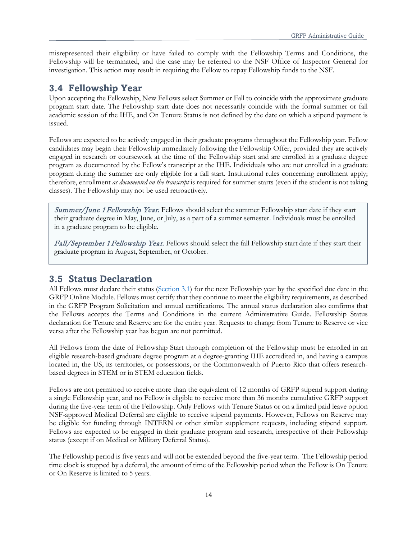misrepresented their eligibility or have failed to comply with the Fellowship Terms and Conditions, the Fellowship will be terminated, and the case may be referred to the NSF Office of Inspector General for investigation. This action may result in requiring the Fellow to repay Fellowship funds to the NSF.

### <span id="page-13-0"></span>**3.4 Fellowship Year**

Upon accepting the Fellowship, New Fellows select Summer or Fall to coincide with the approximate graduate program start date. The Fellowship start date does not necessarily coincide with the formal summer or fall academic session of the IHE, and On Tenure Status is not defined by the date on which a stipend payment is issued.

Fellows are expected to be actively engaged in their graduate programs throughout the Fellowship year. Fellow candidates may begin their Fellowship immediately following the Fellowship Offer, provided they are actively engaged in research or coursework at the time of the Fellowship start and are enrolled in a graduate degree program as documented by the Fellow's transcript at the IHE. Individuals who are not enrolled in a graduate program during the summer are only eligible for a fall start. Institutional rules concerning enrollment apply; therefore, enrollment *as documented on the transcript* is required for summer starts (even if the student is not taking classes). The Fellowship may not be used retroactively.

Summer/June 1 Fellowship Year. Fellows should select the summer Fellowship start date if they start their graduate degree in May, June, or July, as a part of a summer semester. Individuals must be enrolled in a graduate program to be eligible.

Fall/September 1 Fellowship Year. Fellows should select the fall Fellowship start date if they start their graduate program in August, September, or October.

#### <span id="page-13-1"></span>**3.5 Status Declaration**

All Fellows must declare their status (Section [3.1\)](#page-8-1) for the next Fellowship year by the specified due date in the GRFP Online Module. Fellows must certify that they continue to meet the eligibility requirements, as described in the GRFP Program Solicitation and annual certifications. The annual status declaration also confirms that the Fellows accepts the Terms and Conditions in the current Administrative Guide. Fellowship Status declaration for Tenure and Reserve are for the entire year. Requests to change from Tenure to Reserve or vice versa after the Fellowship year has begun are not permitted.

All Fellows from the date of Fellowship Start through completion of the Fellowship must be enrolled in an eligible research-based graduate degree program at a degree-granting IHE accredited in, and having a campus located in, the US, its territories, or possessions, or the Commonwealth of Puerto Rico that offers researchbased degrees in STEM or in STEM education fields.

Fellows are not permitted to receive more than the equivalent of 12 months of GRFP stipend support during a single Fellowship year, and no Fellow is eligible to receive more than 36 months cumulative GRFP support during the five-year term of the Fellowship. Only Fellows with Tenure Status or on a limited paid leave option NSF-approved Medical Deferral are eligible to receive stipend payments. However, Fellows on Reserve may be eligible for funding through INTERN or other similar supplement requests, including stipend support. Fellows are expected to be engaged in their graduate program and research, irrespective of their Fellowship status (except if on Medical or Military Deferral Status).

The Fellowship period is five years and will not be extended beyond the five-year term. The Fellowship period time clock is stopped by a deferral, the amount of time of the Fellowship period when the Fellow is On Tenure or On Reserve is limited to 5 years.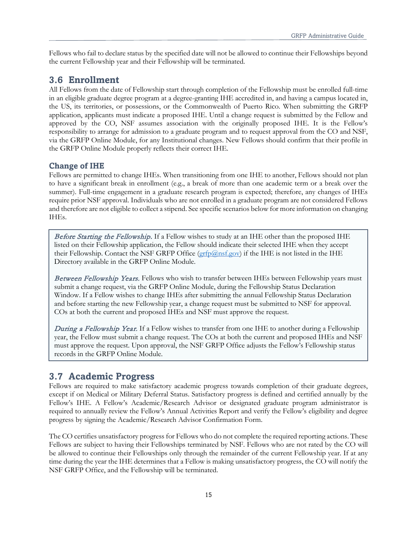Fellows who fail to declare status by the specified date will not be allowed to continue their Fellowships beyond the current Fellowship year and their Fellowship will be terminated.

# <span id="page-14-0"></span>**3.6 Enrollment**

All Fellows from the date of Fellowship start through completion of the Fellowship must be enrolled full-time in an eligible graduate degree program at a degree-granting IHE accredited in, and having a campus located in, the US, its territories, or possessions, or the Commonwealth of Puerto Rico. When submitting the GRFP application, applicants must indicate a proposed IHE. Until a change request is submitted by the Fellow and approved by the CO, NSF assumes association with the originally proposed IHE. It is the Fellow's responsibility to arrange for admission to a graduate program and to request approval from the CO and NSF, via the GRFP Online Module, for any Institutional changes. New Fellows should confirm that their profile in the GRFP Online Module properly reflects their correct IHE.

#### **Change of IHE**

Fellows are permitted to change IHEs. When transitioning from one IHE to another, Fellows should not plan to have a significant break in enrollment (e.g., a break of more than one academic term or a break over the summer). Full-time engagement in a graduate research program is expected; therefore, any changes of IHEs require prior NSF approval. Individuals who are not enrolled in a graduate program are not considered Fellows and therefore are not eligible to collect a stipend. See specific scenarios below for more information on changing IHEs.

Before Starting the Fellowship. If a Fellow wishes to study at an IHE other than the proposed IHE listed on their Fellowship application, the Fellow should indicate their selected IHE when they accept their Fellowship. Contact the NSF GRFP Office ( $\frac{\text{grfp}(Q_{\text{D}})$  if the IHE is not listed in the IHE Directory available in the GRFP Online Module.

Between Fellowship Years. Fellows who wish to transfer between IHEs between Fellowship years must submit a change request, via the GRFP Online Module, during the Fellowship Status Declaration Window. If a Fellow wishes to change IHEs after submitting the annual Fellowship Status Declaration and before starting the new Fellowship year, a change request must be submitted to NSF for approval. COs at both the current and proposed IHEs and NSF must approve the request.

During a Fellowship Year. If a Fellow wishes to transfer from one IHE to another during a Fellowship year, the Fellow must submit a change request. The COs at both the current and proposed IHEs and NSF must approve the request. Upon approval, the NSF GRFP Office adjusts the Fellow's Fellowship status records in the GRFP Online Module.

# <span id="page-14-1"></span>**3.7 Academic Progress**

Fellows are required to make satisfactory academic progress towards completion of their graduate degrees, except if on Medical or Military Deferral Status. Satisfactory progress is defined and certified annually by the Fellow's IHE. A Fellow's Academic/Research Advisor or designated graduate program administrator is required to annually review the Fellow's Annual Activities Report and verify the Fellow's eligibility and degree progress by signing the Academic/Research Advisor Confirmation Form.

The CO certifies unsatisfactory progress for Fellows who do not complete the required reporting actions. These Fellows are subject to having their Fellowships terminated by NSF. Fellows who are not rated by the CO will be allowed to continue their Fellowships only through the remainder of the current Fellowship year. If at any time during the year the IHE determines that a Fellow is making unsatisfactory progress, the CO will notify the NSF GRFP Office, and the Fellowship will be terminated.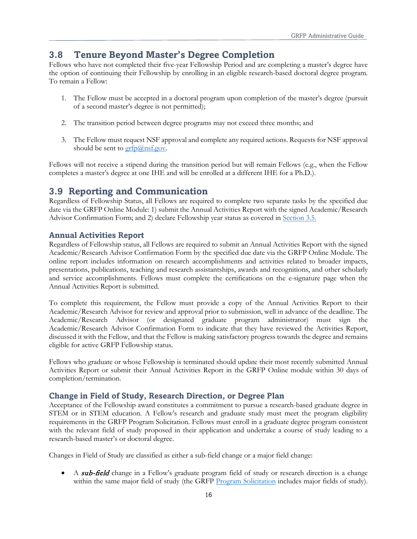## <span id="page-15-0"></span>**3.8 Tenure Beyond Master's Degree Completion**

Fellows who have not completed their five-year Fellowship Period and are completing a master's degree have the option of continuing their Fellowship by enrolling in an eligible research-based doctoral degree program. To remain a Fellow:

- 1. The Fellow must be accepted in a doctoral program upon completion of the master's degree (pursuit of a second master's degree is not permitted);
- 2. The transition period between degree programs may not exceed three months; and
- 3. The Fellow must request NSF approval and complete any required actions. Requests for NSF approval should be sent to  $grfp@nsf.gov$ .

Fellows will not receive a stipend during the transition period but will remain Fellows (e.g., when the Fellow completes a master's degree at one IHE and will be enrolled at a different IHE for a Ph.D.).

## <span id="page-15-1"></span>**3.9 Reporting and Communication**

Regardless of Fellowship Status, all Fellows are required to complete two separate tasks by the specified due date via the GRFP Online Module: 1) submit the Annual Activities Report with the signed Academic/Research Advisor Confirmation Form; and 2) declare Fellowship year status as covered in Section [3.5.](#page-13-1)

#### **Annual Activities Report**

Regardless of Fellowship status, all Fellows are required to submit an Annual Activities Report with the signed Academic/Research Advisor Confirmation Form by the specified due date via the GRFP Online Module. The online report includes information on research accomplishments and activities related to broader impacts, presentations, publications, teaching and research assistantships, awards and recognitions, and other scholarly and service accomplishments. Fellows must complete the certifications on the e-signature page when the Annual Activities Report is submitted.

To complete this requirement, the Fellow must provide a copy of the Annual Activities Report to their Academic/Research Advisor for review and approval prior to submission, well in advance of the deadline. The Academic/Research Advisor (or designated graduate program administrator) must sign the Academic/Research Advisor Confirmation Form to indicate that they have reviewed the Activities Report, discussed it with the Fellow, and that the Fellow is making satisfactory progress towards the degree and remains eligible for active GRFP Fellowship status.

Fellows who graduate or whose Fellowship is terminated should update their most recently submitted Annual Activities Report or submit their Annual Activities Report in the GRFP Online module within 30 days of completion/termination.

#### **Change in Field of Study, Research Direction, or Degree Plan**

Acceptance of the Fellowship award constitutes a commitment to pursue a research-based graduate degree in STEM or in STEM education. A Fellow's research and graduate study must meet the program eligibility requirements in the GRFP Program Solicitation. Fellows must enroll in a graduate degree program consistent with the relevant field of study proposed in their application and undertake a course of study leading to a research-based master's or doctoral degree.

Changes in Field of Study are classified as either a sub-field change or a major field change:

A sub-field change in a Fellow's graduate program field of study or research direction is a change within the same major field of study (the GRFP [Program Solicitation](https://www.nsfgrfp.org/applicants/grf-program-solicitation/) includes major fields of study).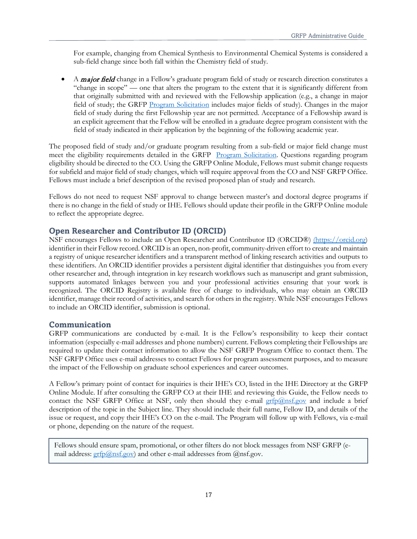For example, changing from Chemical Synthesis to Environmental Chemical Systems is considered a sub-field change since both fall within the Chemistry field of study.

A *major field* change in a Fellow's graduate program field of study or research direction constitutes a "change in scope" — one that alters the program to the extent that it is significantly different from that originally submitted with and reviewed with the Fellowship application (e.g., a change in major field of study; the GRFP [Program Solicitation](https://www.nsfgrfp.org/applicants/grf-program-solicitation/) includes major fields of study). Changes in the major field of study during the first Fellowship year are not permitted. Acceptance of a Fellowship award is an explicit agreement that the Fellow will be enrolled in a graduate degree program consistent with the field of study indicated in their application by the beginning of the following academic year.

The proposed field of study and/or graduate program resulting from a sub-field or major field change must meet the eligibility requirements detailed in the GRFP [Program Solicitation.](https://www.nsfgrfp.org/applicants/grf-program-solicitation/) Questions regarding program eligibility should be directed to the CO. Using the GRFP Online Module, Fellows must submit change requests for subfield and major field of study changes, which will require approval from the CO and NSF GRFP Office. Fellows must include a brief description of the revised proposed plan of study and research.

Fellows do not need to request NSF approval to change between master's and doctoral degree programs if there is no change in the field of study or IHE. Fellows should update their profile in the GRFP Online module to reflect the appropriate degree.

#### **Open Researcher and Contributor ID (ORCID)**

NSF encourages Fellows to include an Open Researcher and Contributor ID (ORCID®) [\(https://orcid.org\)](https://orcid.org/) identifier in their Fellow record. ORCID is an open, non-profit, community-driven effort to create and maintain a registry of unique researcher identifiers and a transparent method of linking research activities and outputs to these identifiers. An ORCID identifier provides a persistent digital identifier that distinguishes you from every other researcher and, through integration in key research workflows such as manuscript and grant submission, supports automated linkages between you and your professional activities ensuring that your work is recognized. The ORCID Registry is available free of charge to individuals, who may obtain an ORCID identifier, manage their record of activities, and search for others in the registry. While NSF encourages Fellows to include an ORCID identifier, submission is optional.

#### **Communication**

GRFP communications are conducted by e-mail. It is the Fellow's responsibility to keep their contact information (especially e-mail addresses and phone numbers) current. Fellows completing their Fellowships are required to update their contact information to allow the NSF GRFP Program Office to contact them. The NSF GRFP Office uses e-mail addresses to contact Fellows for program assessment purposes, and to measure the impact of the Fellowship on graduate school experiences and career outcomes.

A Fellow's primary point of contact for inquiries is their IHE's CO, listed in the IHE Directory at the GRFP Online Module. If after consulting the GRFP CO at their IHE and reviewing this Guide, the Fellow needs to contact the NSF GRFP Office at NSF, only then should they e-mail  $\frac{\text{grfp}(Q) \text{nsf.gov}}{\text{grfp}(Q) \text{nsf.gov}}$  and include a brief description of the topic in the Subject line. They should include their full name, Fellow ID, and details of the issue or request, and copy their IHE's CO on the e-mail. The Program will follow up with Fellows, via e-mail or phone, depending on the nature of the request.

Fellows should ensure spam, promotional, or other filters do not block messages from NSF GRFP (email address:  $grfp(\partial_{.}mfsq\circ v)$  and other e-mail addresses from  $(\partial_{.}mfsq\circ v)$ .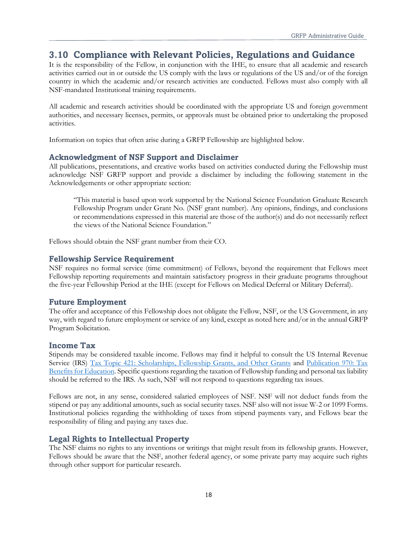# <span id="page-17-0"></span>**3.10 Compliance with Relevant Policies, Regulations and Guidance**

It is the responsibility of the Fellow, in conjunction with the IHE, to ensure that all academic and research activities carried out in or outside the US comply with the laws or regulations of the US and/or of the foreign country in which the academic and/or research activities are conducted. Fellows must also comply with all NSF-mandated Institutional training requirements.

All academic and research activities should be coordinated with the appropriate US and foreign government authorities, and necessary licenses, permits, or approvals must be obtained prior to undertaking the proposed activities.

Information on topics that often arise during a GRFP Fellowship are highlighted below.

#### **Acknowledgment of NSF Support and Disclaimer**

All publications, presentations, and creative works based on activities conducted during the Fellowship must acknowledge NSF GRFP support and provide a disclaimer by including the following statement in the Acknowledgements or other appropriate section:

"This material is based upon work supported by the National Science Foundation Graduate Research Fellowship Program under Grant No. (NSF grant number). Any opinions, findings, and conclusions or recommendations expressed in this material are those of the author(s) and do not necessarily reflect the views of the National Science Foundation."

Fellows should obtain the NSF grant number from their CO.

#### **Fellowship Service Requirement**

NSF requires no formal service (time commitment) of Fellows, beyond the requirement that Fellows meet Fellowship reporting requirements and maintain satisfactory progress in their graduate programs throughout the five-year Fellowship Period at the IHE (except for Fellows on Medical Deferral or Military Deferral).

#### **Future Employment**

The offer and acceptance of this Fellowship does not obligate the Fellow, NSF, or the US Government, in any way, with regard to future employment or service of any kind, except as noted here and/or in the annual GRFP Program Solicitation.

#### **Income Tax**

Stipends may be considered taxable income. Fellows may find it helpful to consult the US Internal Revenue Service (IRS) [Tax Topic 421: Scholarships, Fellowship Grants, and Other Grants](https://www.irs.gov/taxtopics/tc421) and Publication 970: Tax [Benefits for Education.](https://www.irs.gov/forms-pubs/about-publication-970) Specific questions regarding the taxation of Fellowship funding and personal tax liability should be referred to the IRS. As such, NSF will not respond to questions regarding tax issues.

Fellows are not, in any sense, considered salaried employees of NSF. NSF will not deduct funds from the stipend or pay any additional amounts, such as social security taxes. NSF also will not issue W-2 or 1099 Forms. Institutional policies regarding the withholding of taxes from stipend payments vary, and Fellows bear the responsibility of filing and paying any taxes due.

#### **Legal Rights to Intellectual Property**

The NSF claims no rights to any inventions or writings that might result from its fellowship grants. However, Fellows should be aware that the NSF, another federal agency, or some private party may acquire such rights through other support for particular research.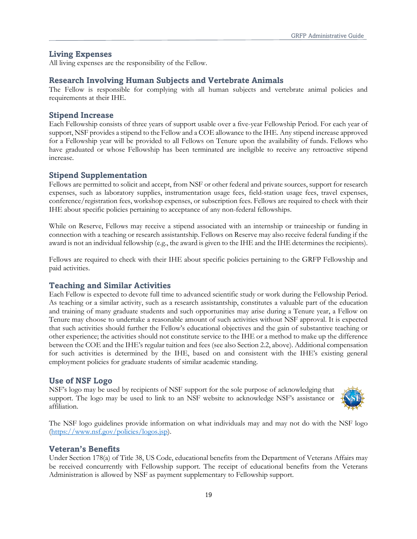#### **Living Expenses**

All living expenses are the responsibility of the Fellow.

#### **Research Involving Human Subjects and Vertebrate Animals**

The Fellow is responsible for complying with all human subjects and vertebrate animal policies and requirements at their IHE.

#### **Stipend Increase**

Each Fellowship consists of three years of support usable over a five-year Fellowship Period. For each year of support, NSF provides a stipend to the Fellow and a COE allowance to the IHE. Any stipend increase approved for a Fellowship year will be provided to all Fellows on Tenure upon the availability of funds. Fellows who have graduated or whose Fellowship has been terminated are ineligible to receive any retroactive stipend increase.

#### **Stipend Supplementation**

Fellows are permitted to solicit and accept, from NSF or other federal and private sources, support for research expenses, such as laboratory supplies, instrumentation usage fees, field-station usage fees, travel expenses, conference/registration fees, workshop expenses, or subscription fees. Fellows are required to check with their IHE about specific policies pertaining to acceptance of any non-federal fellowships.

While on Reserve, Fellows may receive a stipend associated with an internship or traineeship or funding in connection with a teaching or research assistantship. Fellows on Reserve may also receive federal funding if the award is not an individual fellowship (e.g., the award is given to the IHE and the IHE determines the recipients).

Fellows are required to check with their IHE about specific policies pertaining to the GRFP Fellowship and paid activities.

#### **Teaching and Similar Activities**

Each Fellow is expected to devote full time to advanced scientific study or work during the Fellowship Period. As teaching or a similar activity, such as a research assistantship, constitutes a valuable part of the education and training of many graduate students and such opportunities may arise during a Tenure year, a Fellow on Tenure may choose to undertake a reasonable amount of such activities without NSF approval. It is expected that such activities should further the Fellow's educational objectives and the gain of substantive teaching or other experience; the activities should not constitute service to the IHE or a method to make up the difference between the COE and the IHE's regular tuition and fees (see also Section 2.2, above). Additional compensation for such activities is determined by the IHE, based on and consistent with the IHE's existing general employment policies for graduate students of similar academic standing.

#### **Use of NSF Logo**

NSF's logo may be used by recipients of NSF support for the sole purpose of acknowledging that support. The logo may be used to link to an NSF website to acknowledge NSF's assistance or affiliation.



The NSF [logo guidelines p](http://www.nsf.gov/policies/nsf_logo_standards.pdf)rovide information on what individuals may and may not do with the NSF logo [\(https://www.nsf.gov/policies/logos.jsp\)](http://www.nsf.gov/policies/logos.jsp).

#### **Veteran's Benefits**

Under Section 178(a) of Title 38, US Code, educational benefits from the Department of Veterans Affairs may be received concurrently with Fellowship support. The receipt of educational benefits from the Veterans Administration is allowed by NSF as payment supplementary to Fellowship support.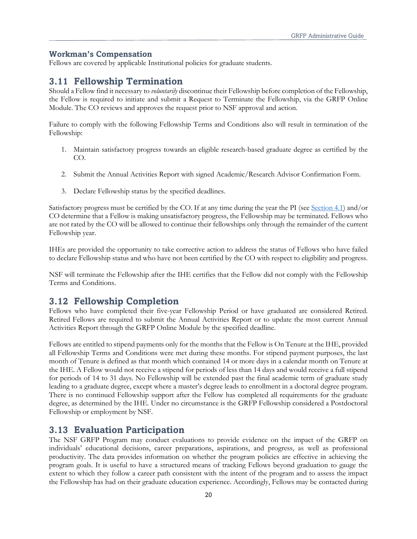#### **Workman's Compensation**

Fellows are covered by applicable Institutional policies for graduate students.

### <span id="page-19-0"></span>**3.11 Fellowship Termination**

Should a Fellow find it necessary to *voluntarily* discontinue their Fellowship before completion of the Fellowship, the Fellow is required to initiate and submit a Request to Terminate the Fellowship, via the GRFP Online Module. The CO reviews and approves the request prior to NSF approval and action.

Failure to comply with the following Fellowship Terms and Conditions also will result in termination of the Fellowship:

- 1. Maintain satisfactory progress towards an eligible research-based graduate degree as certified by the CO.
- 2. Submit the Annual Activities Report with signed Academic/Research Advisor Confirmation Form.
- 3. Declare Fellowship status by the specified deadlines.

Satisfactory progress must be certified by the CO. If at any time during the year the PI (see Section [4.1\)](#page-20-1) and/or CO determine that a Fellow is making unsatisfactory progress, the Fellowship may be terminated. Fellows who are not rated by the CO will be allowed to continue their fellowships only through the remainder of the current Fellowship year.

IHEs are provided the opportunity to take corrective action to address the status of Fellows who have failed to declare Fellowship status and who have not been certified by the CO with respect to eligibility and progress.

NSF will terminate the Fellowship after the IHE certifies that the Fellow did not comply with the Fellowship Terms and Conditions.

# <span id="page-19-1"></span>**3.12 Fellowship Completion**

Fellows who have completed their five-year Fellowship Period or have graduated are considered Retired. Retired Fellows are required to submit the Annual Activities Report or to update the most current Annual Activities Report through the GRFP Online Module by the specified deadline.

Fellows are entitled to stipend payments only for the months that the Fellow is On Tenure at the IHE, provided all Fellowship Terms and Conditions were met during these months. For stipend payment purposes, the last month of Tenure is defined as that month which contained 14 or more days in a calendar month on Tenure at the IHE. A Fellow would not receive a stipend for periods of less than 14 days and would receive a full stipend for periods of 14 to 31 days. No Fellowship will be extended past the final academic term of graduate study leading to a graduate degree, except where a master's degree leads to enrollment in a doctoral degree program. There is no continued Fellowship support after the Fellow has completed all requirements for the graduate degree, as determined by the IHE. Under no circumstance is the GRFP Fellowship considered a Postdoctoral Fellowship or employment by NSF.

### <span id="page-19-3"></span><span id="page-19-2"></span>**3.13 Evaluation Participation**

The NSF GRFP Program may conduct evaluations to provide evidence on the impact of the GRFP on individuals' educational decisions, career preparations, aspirations, and progress, as well as professional productivity. The data provides information on whether the program policies are effective in achieving the program goals. It is useful to have a structured means of tracking Fellows beyond graduation to gauge the extent to which they follow a career path consistent with the intent of the program and to assess the impact the Fellowship has had on their graduate education experience. Accordingly, Fellows may be contacted during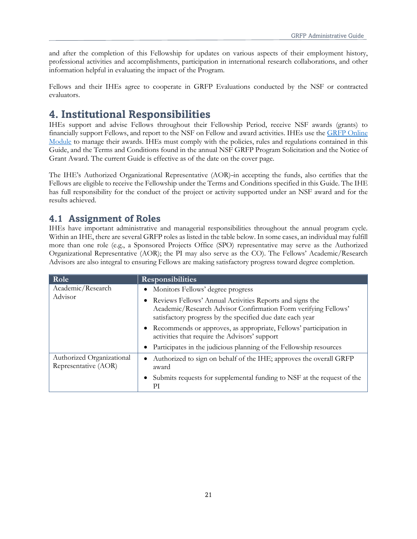and after the completion of this Fellowship for updates on various aspects of their employment history, professional activities and accomplishments, participation in international research collaborations, and other information helpful in evaluating the impact of the Program.

Fellows and their IHEs agree to cooperate in GRFP Evaluations conducted by the NSF or contracted evaluators.

# <span id="page-20-0"></span>**4. Institutional Responsibilities**

IHEs support and advise Fellows throughout their Fellowship Period, receive NSF awards (grants) to financially support Fellows, and report to the NSF on Fellow and award activities. IHEs use the [GRFP Online](https://www.research.gov/grfp/Login.do)  [Module](https://www.research.gov/grfp/Login.do) to manage their awards. IHEs must comply with the policies, rules and regulations contained in this Guide, and the Terms and Conditions found in the annual NSF GRFP Program Solicitation and the Notice of Grant Award. The current Guide is effective as of the date on the cover page.

The IHE's Authorized Organizational Representative (AOR)-in accepting the funds, also certifies that the Fellows are eligible to receive the Fellowship under the Terms and Conditions specified in this Guide. The IHE has full responsibility for the conduct of the project or activity supported under an NSF award and for the results achieved.

# <span id="page-20-1"></span>**4.1 Assignment of Roles**

IHEs have important administrative and managerial responsibilities throughout the annual program cycle. Within an IHE, there are several GRFP roles as listed in the table below. In some cases, an individual may fulfill more than one role (e.g., a Sponsored Projects Office (SPO) representative may serve as the Authorized Organizational Representative (AOR); the PI may also serve as the CO). The Fellows' Academic/Research Advisors are also integral to ensuring Fellows are making satisfactory progress toward degree completion.

| Role                                              | <b>Responsibilities</b>                                                                                                                                                                 |  |  |  |  |  |  |
|---------------------------------------------------|-----------------------------------------------------------------------------------------------------------------------------------------------------------------------------------------|--|--|--|--|--|--|
| Academic/Research                                 | Monitors Fellows' degree progress                                                                                                                                                       |  |  |  |  |  |  |
| Advisor                                           | Reviews Fellows' Annual Activities Reports and signs the<br>Academic/Research Advisor Confirmation Form verifying Fellows'<br>satisfactory progress by the specified due date each year |  |  |  |  |  |  |
|                                                   | • Recommends or approves, as appropriate, Fellows' participation in<br>activities that require the Advisors' support                                                                    |  |  |  |  |  |  |
|                                                   | Participates in the judicious planning of the Fellowship resources                                                                                                                      |  |  |  |  |  |  |
| Authorized Organizational<br>Representative (AOR) | Authorized to sign on behalf of the IHE; approves the overall GRFP<br>award                                                                                                             |  |  |  |  |  |  |
|                                                   | Submits requests for supplemental funding to NSF at the request of the<br>РI                                                                                                            |  |  |  |  |  |  |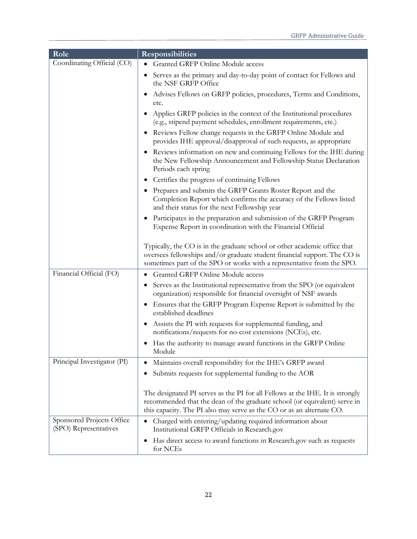| Role                                               | <b>Responsibilities</b>                                                                                                                                                                                                             |  |  |  |  |  |  |  |
|----------------------------------------------------|-------------------------------------------------------------------------------------------------------------------------------------------------------------------------------------------------------------------------------------|--|--|--|--|--|--|--|
| Coordinating Official (CO)                         | Granted GRFP Online Module access                                                                                                                                                                                                   |  |  |  |  |  |  |  |
|                                                    | Serves as the primary and day-to-day point of contact for Fellows and<br>$\bullet$<br>the NSF GRFP Office                                                                                                                           |  |  |  |  |  |  |  |
|                                                    | Advises Fellows on GRFP policies, procedures, Terms and Conditions,<br>etc.                                                                                                                                                         |  |  |  |  |  |  |  |
|                                                    | Applies GRFP policies in the context of the Institutional procedures<br>$\bullet$<br>(e.g., stipend payment schedules, enrollment requirements, etc.)                                                                               |  |  |  |  |  |  |  |
|                                                    | Reviews Fellow change requests in the GRFP Online Module and<br>provides IHE approval/disapproval of such requests, as appropriate                                                                                                  |  |  |  |  |  |  |  |
|                                                    | Reviews information on new and continuing Fellows for the IHE during<br>$\bullet$<br>the New Fellowship Announcement and Fellowship Status Declaration<br>Periods each spring                                                       |  |  |  |  |  |  |  |
|                                                    | Certifies the progress of continuing Fellows                                                                                                                                                                                        |  |  |  |  |  |  |  |
|                                                    | Prepares and submits the GRFP Grants Roster Report and the<br>$\bullet$<br>Completion Report which confirms the accuracy of the Fellows listed<br>and their status for the next Fellowship year                                     |  |  |  |  |  |  |  |
|                                                    | Participates in the preparation and submission of the GRFP Program<br>$\bullet$<br>Expense Report in coordination with the Financial Official                                                                                       |  |  |  |  |  |  |  |
|                                                    | Typically, the CO is in the graduate school or other academic office that<br>oversees fellowships and/or graduate student financial support. The CO is<br>sometimes part of the SPO or works with a representative from the SPO.    |  |  |  |  |  |  |  |
| Financial Official (FO)                            | Granted GRFP Online Module access                                                                                                                                                                                                   |  |  |  |  |  |  |  |
|                                                    | Serves as the Institutional representative from the SPO (or equivalent<br>٠<br>organization) responsible for financial oversight of NSF awards                                                                                      |  |  |  |  |  |  |  |
|                                                    | Ensures that the GRFP Program Expense Report is submitted by the<br>$\bullet$<br>established deadlines                                                                                                                              |  |  |  |  |  |  |  |
|                                                    | Assists the PI with requests for supplemental funding, and<br>$\bullet$<br>notifications/requests for no-cost extensions (NCEs), etc.                                                                                               |  |  |  |  |  |  |  |
|                                                    | Has the authority to manage award functions in the GRFP Online<br>Module                                                                                                                                                            |  |  |  |  |  |  |  |
| Principal Investigator (PI)                        | Maintains overall responsibility for the IHE's GRFP award<br>$\bullet$                                                                                                                                                              |  |  |  |  |  |  |  |
|                                                    | Submits requests for supplemental funding to the AOR                                                                                                                                                                                |  |  |  |  |  |  |  |
|                                                    | The designated PI serves as the PI for all Fellows at the IHE. It is strongly<br>recommended that the dean of the graduate school (or equivalent) serve in<br>this capacity. The PI also may serve as the CO or as an alternate CO. |  |  |  |  |  |  |  |
| Sponsored Projects Office<br>(SPO) Representatives | Charged with entering/updating required information about<br>Institutional GRFP Officials in Research.gov                                                                                                                           |  |  |  |  |  |  |  |
|                                                    | Has direct access to award functions in Research.gov such as requests<br>٠<br>for NCEs                                                                                                                                              |  |  |  |  |  |  |  |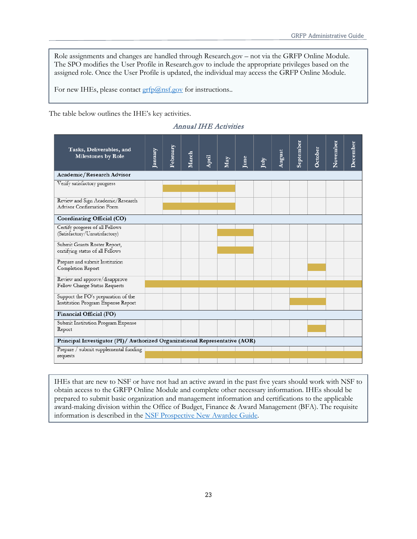Role assignments and changes are handled through Research.gov – not via the GRFP Online Module. The SPO modifies the User Profile in Research.gov to include the appropriate privileges based on the assigned role. Once the User Profile is updated, the individual may access the GRFP Online Module.

For new IHEs, please contact **grfp@nsf.gov** for instructions..

The table below outlines the IHE's key activities.

| Tasks, Deliverables, and<br><b>Milestones by Role</b>                       | January | February | March | April | May | June | July | August | September | October | November | December |
|-----------------------------------------------------------------------------|---------|----------|-------|-------|-----|------|------|--------|-----------|---------|----------|----------|
| Academic/Research Advisor                                                   |         |          |       |       |     |      |      |        |           |         |          |          |
| Venfy satisfactory progress                                                 |         |          |       |       |     |      |      |        |           |         |          |          |
| Review and Sign Academic/Research<br>Advisor Confirmation Form              |         |          |       |       |     |      |      |        |           |         |          |          |
| Coordinating Official (CO)                                                  |         |          |       |       |     |      |      |        |           |         |          |          |
| Certify progress of all Fellows<br>(Satisfactory/Unsatisfactory)            |         |          |       |       |     |      |      |        |           |         |          |          |
| Submit Grants Roster Report,<br>certifying status of all Fellows            |         |          |       |       |     |      |      |        |           |         |          |          |
| Prepare and submit Institution<br>Completion Report                         |         |          |       |       |     |      |      |        |           |         |          |          |
| Review and approve/disapprove<br>Fellow Change Status Requests              |         |          |       |       |     |      |      |        |           |         |          |          |
| Support the FO's preparation of the<br>Institution Program Expense Report   |         |          |       |       |     |      |      |        |           |         |          |          |
| Financial Official (FO)                                                     |         |          |       |       |     |      |      |        |           |         |          |          |
| Submit Institution Program Expense<br>Report                                |         |          |       |       |     |      |      |        |           |         |          |          |
| Principal Investigator (PI)/ Authorized Organizational Representative (AOR) |         |          |       |       |     |      |      |        |           |         |          |          |
| Prepare / submit supplemental funding<br>requests                           |         |          |       |       |     |      |      |        |           |         |          |          |

Annual IHE Activities

IHEs that are new to NSF or have not had an active award in the past five years should work with NSF to obtain access to the GRFP Online Module and complete other necessary information. IHEs should be prepared to submit basic organization and management information and certifications to the applicable award-making division within the Office of Budget, Finance & Award Management (BFA). The requisite information is described in the NSF [Prospective New Awardee Guide.](https://www.nsf.gov/publications/pub_summ.jsp?ods_key=pnag)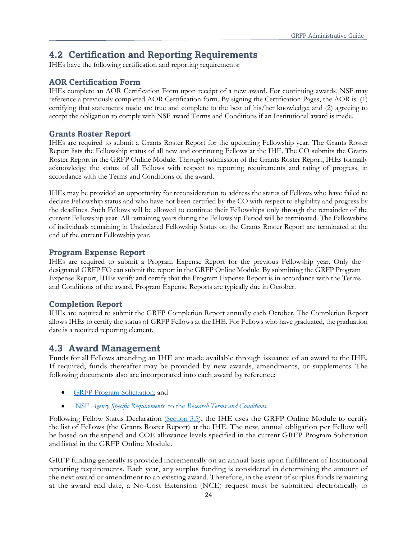# <span id="page-23-0"></span>**4.2 Certification and Reporting Requirements**

IHEs have the following certification and reporting requirements:

#### **AOR Certification Form**

IHEs complete an AOR Certification Form upon receipt of a new award. For continuing awards, NSF may reference a previously completed AOR Certification form. By signing the Certification Pages, the AOR is: (1) certifying that statements made are true and complete to the best of his/her knowledge; and (2) agreeing to accept the obligation to comply with NSF award Terms and Conditions if an Institutional award is made.

#### **Grants Roster Report**

IHEs are required to submit a Grants Roster Report for the upcoming Fellowship year. The Grants Roster Report lists the Fellowship status of all new and continuing Fellows at the IHE. The CO submits the Grants Roster Report in the GRFP Online Module. Through submission of the Grants Roster Report, IHEs formally acknowledge the status of all Fellows with respect to reporting requirements and rating of progress, in accordance with the Terms and Conditions of the award.

IHEs may be provided an opportunity for reconsideration to address the status of Fellows who have failed to declare Fellowship status and who have not been certified by the CO with respect to eligibility and progress by the deadlines. Such Fellows will be allowed to continue their Fellowships only through the remainder of the current Fellowship year. All remaining years during the Fellowship Period will be terminated. The Fellowships of individuals remaining in Undeclared Fellowship Status on the Grants Roster Report are terminated at the end of the current Fellowship year.

#### **Program Expense Report**

IHEs are required to submit a Program Expense Report for the previous Fellowship year. Only the designated GRFP FO can submit the report in the GRFP Online Module. By submitting the GRFP Program Expense Report, IHEs verify and certify that the Program Expense Report is in accordance with the Terms and Conditions of the award. Program Expense Reports are typically due in October.

#### **Completion Report**

IHEs are required to submit the GRFP Completion Report annually each October. The Completion Report allows IHEs to certify the status of GRFP Fellows at the IHE. For Fellows who have graduated, the graduation date is a required reporting element.

### <span id="page-23-1"></span>**4.3 Award Management**

Funds for all Fellows attending an IHE are made available through issuance of an award to the IHE. If required, funds thereafter may be provided by new awards, amendments, or supplements. The following documents also are incorporated into each award by reference:

- [GRFP Program Solicitation;](https://www.nsfgrfp.org/applicants/grf-program-solicitation/) and
- NSF *Agency Specific Requirements* to the *[Research Terms and Conditions](https://nsf.gov/awards/managing/rtc.jsp)*.

Following Fellow Status Declaration (Section [3.5\)](#page-13-1), the IHE uses the GRFP Online Module to certify the list of Fellows (the Grants Roster Report) at the IHE. The new, annual obligation per Fellow will be based on the stipend and COE allowance levels specified in the current GRFP Program Solicitation and listed in the GRFP Online Module.

GRFP funding generally is provided incrementally on an annual basis upon fulfillment of Institutional reporting requirements. Each year, any surplus funding is considered in determining the amount of the next award or amendment to an existing award. Therefore, in the event of surplus funds remaining at the award end date, a No-Cost Extension (NCE) request must be submitted electronically to